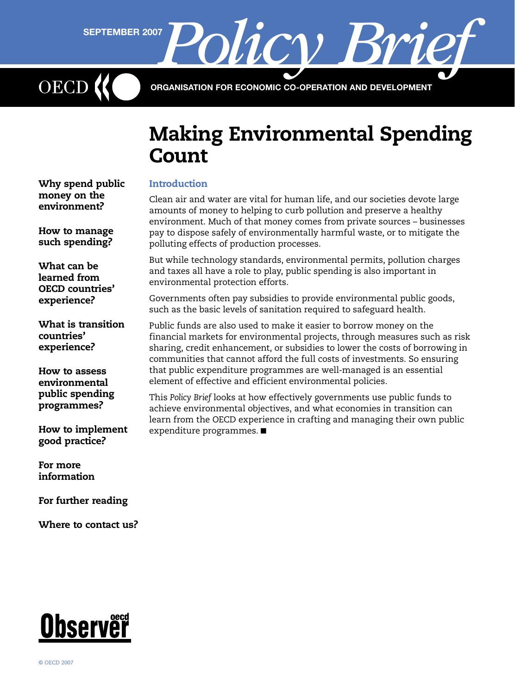**Policy Brief Policy** 

ORGANISATION FOR ECONOMIC CO-OPERATION AND DEVELOPMENT

# Making Environmental Spending **Count**

# **Introduction**

Clean air and water are vital for human life, and our societies devote large amounts of money to helping to curb pollution and preserve a healthy environment. Much of that money comes from private sources – businesses pay to dispose safely of environmentally harmful waste, or to mitigate the polluting effects of production processes.

But while technology standards, environmental permits, pollution charges and taxes all have a role to play, public spending is also important in environmental protection efforts.

Governments often pay subsidies to provide environmental public goods, such as the basic levels of sanitation required to safeguard health.

Public funds are also used to make it easier to borrow money on the financial markets for environmental projects, through measures such as risk sharing, credit enhancement, or subsidies to lower the costs of borrowing in communities that cannot afford the full costs of investments. So ensuring that public expenditure programmes are well-managed is an essential element of effective and efficient environmental policies.

This *Policy Brief* looks at how effectively governments use public funds to achieve environmental objectives, and what economies in transition can learn from the OECD experience in crafting and managing their own public expenditure programmes. ■

[Why spend public](#page-1-0)  [money on the](#page-1-0)  [environment?](#page-1-0)

[How to manage](#page-1-0)  [such spending?](#page-1-0)

[What can be](#page-2-0)  [learned from](#page-2-0)  [OECD countries'](#page-2-0)  [experience?](#page-2-0)

[What is transition](#page-4-0)  [countries'](#page-4-0)  [experience?](#page-4-0)

[How to assess](#page-4-0)  [environmental](#page-4-0)  [public spending](#page-4-0)  [programmes?](#page-4-0)

[How to implement](#page-5-0)  [good practice?](#page-5-0)

[For more](#page-6-0)  [information](#page-6-0)

[For further reading](#page-7-0)

[Where to contact us?](#page-7-0)

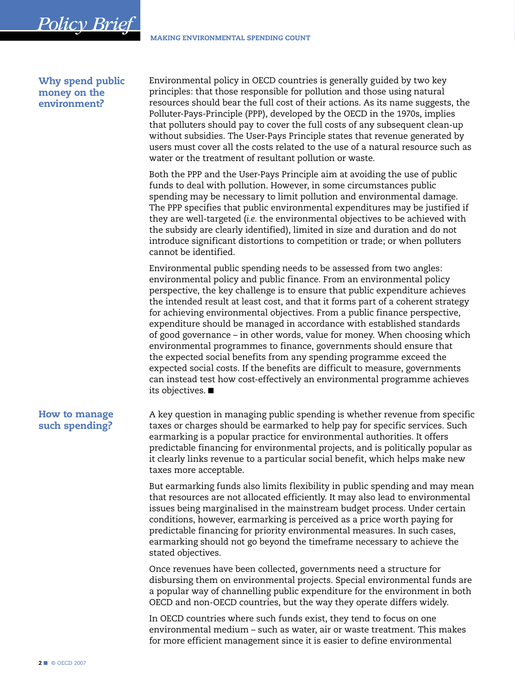## Why spend public money on the environment?

<span id="page-1-0"></span>*Policy Brief*

Environmental policy in OECD countries is generally guided by two key principles: that those responsible for pollution and those using natural resources should bear the full cost of their actions. As its name suggests, the Polluter-Pays-Principle (PPP), developed by the OECD in the 1970s, implies that polluters should pay to cover the full costs of any subsequent clean-up without subsidies. The User-Pays Principle states that revenue generated by users must cover all the costs related to the use of a natural resource such as water or the treatment of resultant pollution or waste.

Both the PPP and the User-Pays Principle aim at avoiding the use of public funds to deal with pollution. However, in some circumstances public spending may be necessary to limit pollution and environmental damage. The PPP specifies that public environmental expenditures may be justified if they are well-targeted (*i.e.* the environmental objectives to be achieved with the subsidy are clearly identified), limited in size and duration and do not introduce significant distortions to competition or trade; or when polluters cannot be identified.

Environmental public spending needs to be assessed from two angles: environmental policy and public finance. From an environmental policy perspective, the key challenge is to ensure that public expenditure achieves the intended result at least cost, and that it forms part of a coherent strategy for achieving environmental objectives. From a public finance perspective, expenditure should be managed in accordance with established standards of good governance – in other words, value for money. When choosing which environmental programmes to finance, governments should ensure that the expected social benefits from any spending programme exceed the expected social costs. If the benefits are difficult to measure, governments can instead test how cost-effectively an environmental programme achieves its objectives. ■

A key question in managing public spending is whether revenue from specific taxes or charges should be earmarked to help pay for specific services. Such earmarking is a popular practice for environmental authorities. It offers predictable financing for environmental projects, and is politically popular as it clearly links revenue to a particular social benefit, which helps make new taxes more acceptable.

But earmarking funds also limits flexibility in public spending and may mean that resources are not allocated efficiently. It may also lead to environmental issues being marginalised in the mainstream budget process. Under certain conditions, however, earmarking is perceived as a price worth paying for predictable financing for priority environmental measures. In such cases, earmarking should not go beyond the timeframe necessary to achieve the stated objectives.

Once revenues have been collected, governments need a structure for disbursing them on environmental projects. Special environmental funds are a popular way of channelling public expenditure for the environment in both OECD and non-OECD countries, but the way they operate differs widely.

In OECD countries where such funds exist, they tend to focus on one environmental medium – such as water, air or waste treatment. This makes for more efficient management since it is easier to define environmental

# How to manage such spending?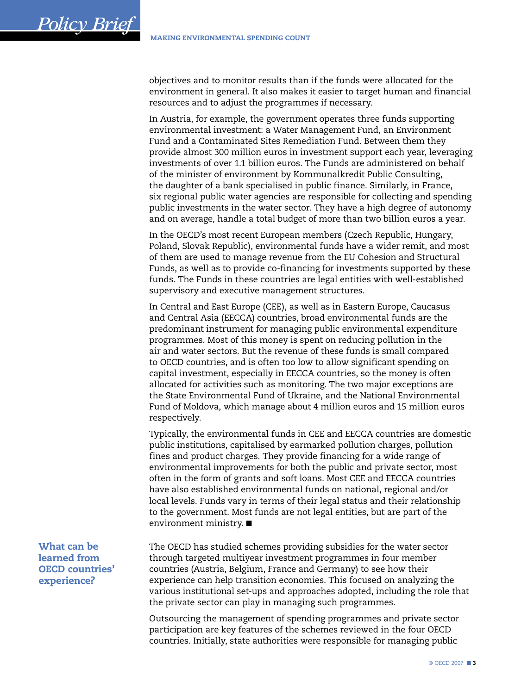<span id="page-2-0"></span>objectives and to monitor results than if the funds were allocated for the environment in general. It also makes it easier to target human and financial resources and to adjust the programmes if necessary.

In Austria, for example, the government operates three funds supporting environmental investment: a Water Management Fund, an Environment Fund and a Contaminated Sites Remediation Fund. Between them they provide almost 300 million euros in investment support each year, leveraging investments of over 1.1 billion euros. The Funds are administered on behalf of the minister of environment by Kommunalkredit Public Consulting, the daughter of a bank specialised in public finance. Similarly, in France, six regional public water agencies are responsible for collecting and spending public investments in the water sector. They have a high degree of autonomy and on average, handle a total budget of more than two billion euros a year.

In the OECD's most recent European members (Czech Republic, Hungary, Poland, Slovak Republic), environmental funds have a wider remit, and most of them are used to manage revenue from the EU Cohesion and Structural Funds, as well as to provide co-financing for investments supported by these funds. The Funds in these countries are legal entities with well-established supervisory and executive management structures.

In Central and East Europe (CEE), as well as in Eastern Europe, Caucasus and Central Asia (EECCA) countries, broad environmental funds are the predominant instrument for managing public environmental expenditure programmes. Most of this money is spent on reducing pollution in the air and water sectors. But the revenue of these funds is small compared to OECD countries, and is often too low to allow significant spending on capital investment, especially in EECCA countries, so the money is often allocated for activities such as monitoring. The two major exceptions are the State Environmental Fund of Ukraine, and the National Environmental Fund of Moldova, which manage about 4 million euros and 15 million euros respectively.

Typically, the environmental funds in CEE and EECCA countries are domestic public institutions, capitalised by earmarked pollution charges, pollution fines and product charges. They provide financing for a wide range of environmental improvements for both the public and private sector, most often in the form of grants and soft loans. Most CEE and EECCA countries have also established environmental funds on national, regional and/or local levels. Funds vary in terms of their legal status and their relationship to the government. Most funds are not legal entities, but are part of the environment ministry. ■

The OECD has studied schemes providing subsidies for the water sector through targeted multiyear investment programmes in four member countries (Austria, Belgium, France and Germany) to see how their experience can help transition economies. This focused on analyzing the various institutional set-ups and approaches adopted, including the role that the private sector can play in managing such programmes.

Outsourcing the management of spending programmes and private sector participation are key features of the schemes reviewed in the four OECD countries. Initially, state authorities were responsible for managing public

What can be learned from OECD countries' experience?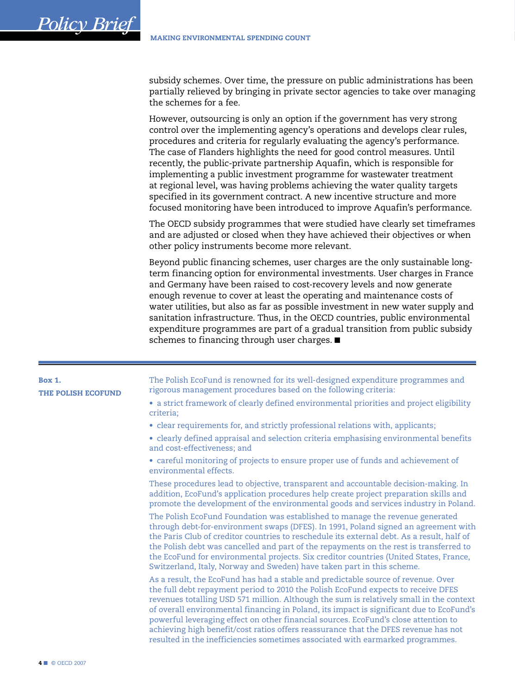subsidy schemes. Over time, the pressure on public administrations has been partially relieved by bringing in private sector agencies to take over managing the schemes for a fee.

However, outsourcing is only an option if the government has very strong control over the implementing agency's operations and develops clear rules, procedures and criteria for regularly evaluating the agency's performance. The case of Flanders highlights the need for good control measures. Until recently, the public-private partnership Aquafin, which is responsible for implementing a public investment programme for wastewater treatment at regional level, was having problems achieving the water quality targets specified in its government contract. A new incentive structure and more focused monitoring have been introduced to improve Aquafin's performance.

The OECD subsidy programmes that were studied have clearly set timeframes and are adjusted or closed when they have achieved their objectives or when other policy instruments become more relevant.

Beyond public financing schemes, user charges are the only sustainable longterm financing option for environmental investments. User charges in France and Germany have been raised to cost-recovery levels and now generate enough revenue to cover at least the operating and maintenance costs of water utilities, but also as far as possible investment in new water supply and sanitation infrastructure. Thus, in the OECD countries, public environmental expenditure programmes are part of a gradual transition from public subsidy schemes to financing through user charges. ■

| <b>Box 1.</b><br><b>THE POLISH ECOFUND</b> | The Polish EcoFund is renowned for its well-designed expenditure programmes and<br>rigorous management procedures based on the following criteria:                                                                                                                                                                                                                                                                                                                                                                                                                                                                            |
|--------------------------------------------|-------------------------------------------------------------------------------------------------------------------------------------------------------------------------------------------------------------------------------------------------------------------------------------------------------------------------------------------------------------------------------------------------------------------------------------------------------------------------------------------------------------------------------------------------------------------------------------------------------------------------------|
|                                            | • a strict framework of clearly defined environmental priorities and project eligibility<br>criteria:                                                                                                                                                                                                                                                                                                                                                                                                                                                                                                                         |
|                                            | • clear requirements for, and strictly professional relations with, applicants;                                                                                                                                                                                                                                                                                                                                                                                                                                                                                                                                               |
|                                            | • clearly defined appraisal and selection criteria emphasising environmental benefits<br>and cost-effectiveness; and                                                                                                                                                                                                                                                                                                                                                                                                                                                                                                          |
|                                            | • careful monitoring of projects to ensure proper use of funds and achievement of<br>environmental effects.                                                                                                                                                                                                                                                                                                                                                                                                                                                                                                                   |
|                                            | These procedures lead to objective, transparent and accountable decision-making. In<br>addition, EcoFund's application procedures help create project preparation skills and<br>promote the development of the environmental goods and services industry in Poland.                                                                                                                                                                                                                                                                                                                                                           |
|                                            | The Polish EcoFund Foundation was established to manage the revenue generated<br>through debt-for-environment swaps (DFES). In 1991, Poland signed an agreement with<br>the Paris Club of creditor countries to reschedule its external debt. As a result, half of<br>the Polish debt was cancelled and part of the repayments on the rest is transferred to<br>the EcoFund for environmental projects. Six creditor countries (United States, France,<br>Switzerland, Italy, Norway and Sweden) have taken part in this scheme.                                                                                              |
|                                            | As a result, the EcoFund has had a stable and predictable source of revenue. Over<br>the full debt repayment period to 2010 the Polish EcoFund expects to receive DFES<br>revenues totalling USD 571 million. Although the sum is relatively small in the context<br>of overall environmental financing in Poland, its impact is significant due to EcoFund's<br>powerful leveraging effect on other financial sources. EcoFund's close attention to<br>achieving high benefit/cost ratios offers reassurance that the DFES revenue has not<br>resulted in the inefficiencies sometimes associated with earmarked programmes. |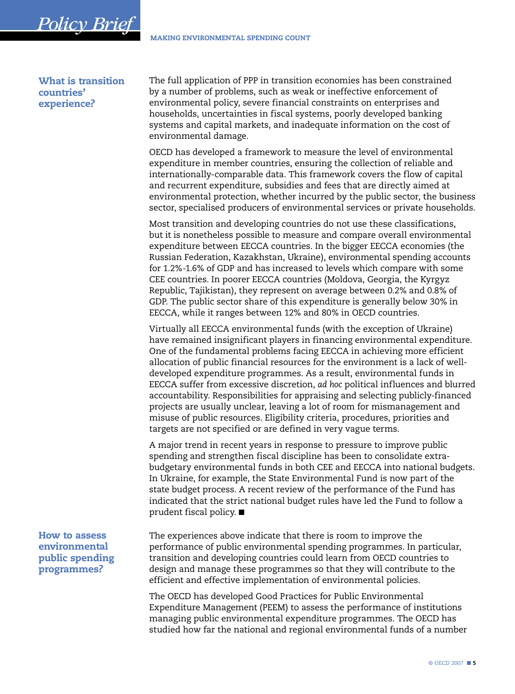What is transition countries' experience?

<span id="page-4-0"></span>*Policy Brief*

The full application of PPP in transition economies has been constrained by a number of problems, such as weak or ineffective enforcement of environmental policy, severe financial constraints on enterprises and households, uncertainties in fiscal systems, poorly developed banking systems and capital markets, and inadequate information on the cost of environmental damage.

OECD has developed a framework to measure the level of environmental expenditure in member countries, ensuring the collection of reliable and internationally-comparable data. This framework covers the flow of capital and recurrent expenditure, subsidies and fees that are directly aimed at environmental protection, whether incurred by the public sector, the business sector, specialised producers of environmental services or private households.

Most transition and developing countries do not use these classifications, but it is nonetheless possible to measure and compare overall environmental expenditure between EECCA countries. In the bigger EECCA economies (the Russian Federation, Kazakhstan, Ukraine), environmental spending accounts for 1.2%-1.6% of GDP and has increased to levels which compare with some CEE countries. In poorer EECCA countries (Moldova, Georgia, the Kyrgyz Republic, Tajikistan), they represent on average between 0.2% and 0.8% of GDP. The public sector share of this expenditure is generally below 30% in EECCA, while it ranges between 12% and 80% in OECD countries.

Virtually all EECCA environmental funds (with the exception of Ukraine) have remained insignificant players in financing environmental expenditure. One of the fundamental problems facing EECCA in achieving more efficient allocation of public financial resources for the environment is a lack of welldeveloped expenditure programmes. As a result, environmental funds in EECCA suffer from excessive discretion, *ad hoc* political influences and blurred accountability. Responsibilities for appraising and selecting publicly-financed projects are usually unclear, leaving a lot of room for mismanagement and misuse of public resources. Eligibility criteria, procedures, priorities and targets are not specified or are defined in very vague terms.

A major trend in recent years in response to pressure to improve public spending and strengthen fiscal discipline has been to consolidate extrabudgetary environmental funds in both CEE and EECCA into national budgets. In Ukraine, for example, the State Environmental Fund is now part of the state budget process. A recent review of the performance of the Fund has indicated that the strict national budget rules have led the Fund to follow a prudent fiscal policy. ■

The experiences above indicate that there is room to improve the performance of public environmental spending programmes. In particular, transition and developing countries could learn from OECD countries to design and manage these programmes so that they will contribute to the efficient and effective implementation of environmental policies.

The OECD has developed Good Practices for Public Environmental Expenditure Management (PEEM) to assess the performance of institutions managing public environmental expenditure programmes. The OECD has studied how far the national and regional environmental funds of a number

How to assess environmental public spending programmes?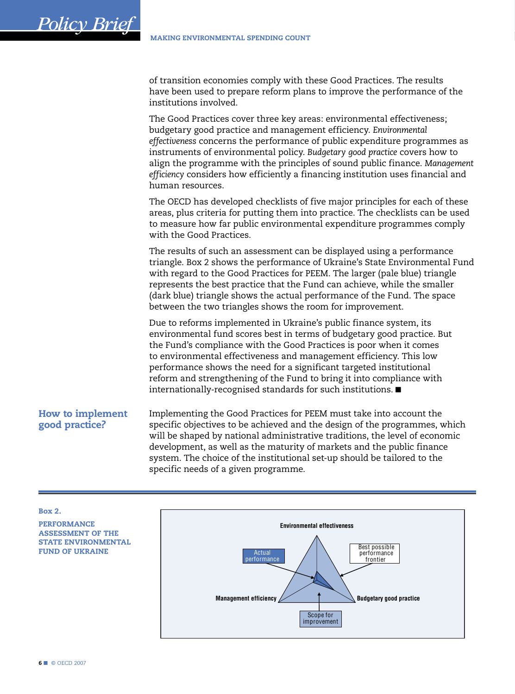of transition economies comply with these Good Practices. The results have been used to prepare reform plans to improve the performance of the institutions involved.

The Good Practices cover three key areas: environmental effectiveness; budgetary good practice and management efficiency. *Environmental effectiveness* concerns the performance of public expenditure programmes as instruments of environmental policy. *Budgetary good practice* covers how to align the programme with the principles of sound public finance. *Management efficiency* considers how efficiently a financing institution uses financial and human resources.

The OECD has developed checklists of five major principles for each of these areas, plus criteria for putting them into practice. The checklists can be used to measure how far public environmental expenditure programmes comply with the Good Practices.

The results of such an assessment can be displayed using a performance triangle. Box 2 shows the performance of Ukraine's State Environmental Fund with regard to the Good Practices for PEEM. The larger (pale blue) triangle represents the best practice that the Fund can achieve, while the smaller (dark blue) triangle shows the actual performance of the Fund. The space between the two triangles shows the room for improvement.

Due to reforms implemented in Ukraine's public finance system, its environmental fund scores best in terms of budgetary good practice. But the Fund's compliance with the Good Practices is poor when it comes to environmental effectiveness and management efficiency. This low performance shows the need for a significant targeted institutional reform and strengthening of the Fund to bring it into compliance with internationally-recognised standards for such institutions. ■

# How to implement good practice?

<span id="page-5-0"></span>*Policy Brief*

Implementing the Good Practices for PEEM must take into account the specific objectives to be achieved and the design of the programmes, which will be shaped by national administrative traditions, the level of economic development, as well as the maturity of markets and the public finance system. The choice of the institutional set-up should be tailored to the specific needs of a given programme.

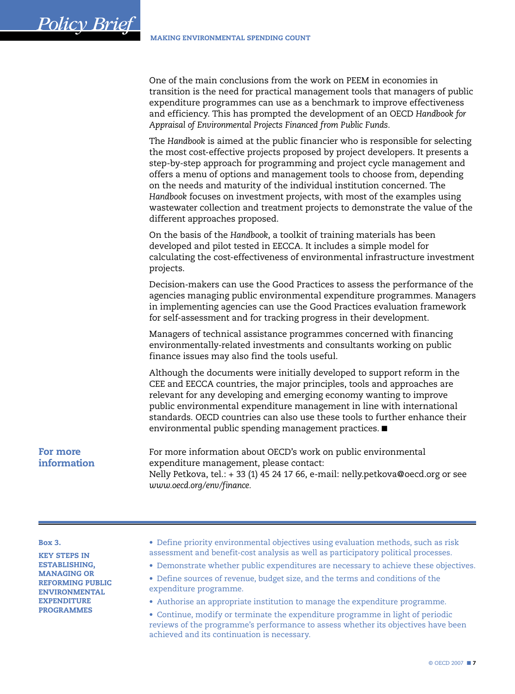One of the main conclusions from the work on PEEM in economies in transition is the need for practical management tools that managers of public expenditure programmes can use as a benchmark to improve effectiveness and efficiency. This has prompted the development of an OECD *Handbook for Appraisal of Environmental Projects Financed from Public Funds.*

The *Handbook* is aimed at the public financier who is responsible for selecting the most cost-effective projects proposed by project developers. It presents a step-by-step approach for programming and project cycle management and offers a menu of options and management tools to choose from, depending on the needs and maturity of the individual institution concerned. The *Handbook* focuses on investment projects, with most of the examples using wastewater collection and treatment projects to demonstrate the value of the different approaches proposed.

On the basis of the *Handbook*, a toolkit of training materials has been developed and pilot tested in EECCA. It includes a simple model for calculating the cost-effectiveness of environmental infrastructure investment projects.

Decision-makers can use the Good Practices to assess the performance of the agencies managing public environmental expenditure programmes. Managers in implementing agencies can use the Good Practices evaluation framework for self-assessment and for tracking progress in their development.

Managers of technical assistance programmes concerned with financing environmentally-related investments and consultants working on public finance issues may also find the tools useful.

Although the documents were initially developed to support reform in the CEE and EECCA countries, the major principles, tools and approaches are relevant for any developing and emerging economy wanting to improve public environmental expenditure management in line with international standards. OECD countries can also use these tools to further enhance their environmental public spending management practices. ■

## For more information

<span id="page-6-0"></span>*Policy Brief*

For more information about OECD's work on public environmental expenditure management, please contact: Nelly Petkova, tel.: + 33 (1) 45 24 17 66, e-mail: nelly.petkova@oecd.org or see *www.oecd.org/env/finance.*

#### Box 3.

KEY STEPS IN ESTABLISHING, MANAGING OR REFORMING PUBLIC ENVIRONMENTAL **EXPENDITURE** PROGRAMMES

- Define priority environmental objectives using evaluation methods, such as risk assessment and benefit-cost analysis as well as participatory political processes.
- Demonstrate whether public expenditures are necessary to achieve these objectives.
- Define sources of revenue, budget size, and the terms and conditions of the expenditure programme.
- Authorise an appropriate institution to manage the expenditure programme.

• Continue, modify or terminate the expenditure programme in light of periodic reviews of the programme's performance to assess whether its objectives have been achieved and its continuation is necessary.